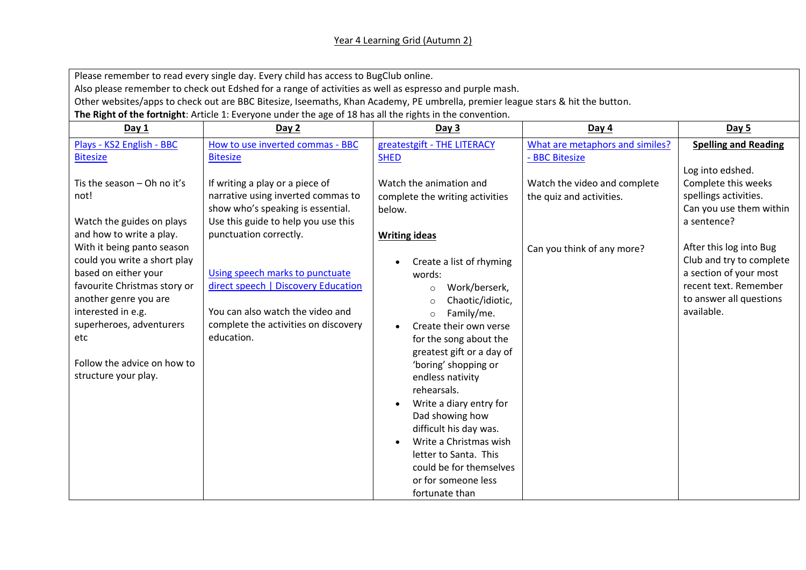## Year 4 Learning Grid (Autumn 2)

Please remember to read every single day. Every child has access to BugClub online.

Also please remember to check out Edshed for a range of activities as well as espresso and purple mash.

Other websites/apps to check out are BBC Bitesize, Iseemaths, Khan Academy, PE umbrella, premier league stars & hit the button.

**The Right of the fortnight**: Article 1: Everyone under the age of 18 has all the rights in the convention.

| Day 1                                                                                                                                                                                                                                                       | Day 2                                                                                                                                                                       | Day 3                                                                                                                                                                                                                                                                                                                                                                                                                                                                                     | Day $4$                                                  | Day 5                                                                                                                                           |
|-------------------------------------------------------------------------------------------------------------------------------------------------------------------------------------------------------------------------------------------------------------|-----------------------------------------------------------------------------------------------------------------------------------------------------------------------------|-------------------------------------------------------------------------------------------------------------------------------------------------------------------------------------------------------------------------------------------------------------------------------------------------------------------------------------------------------------------------------------------------------------------------------------------------------------------------------------------|----------------------------------------------------------|-------------------------------------------------------------------------------------------------------------------------------------------------|
| Plays - KS2 English - BBC<br><b>Bitesize</b>                                                                                                                                                                                                                | How to use inverted commas - BBC<br><b>Bitesize</b>                                                                                                                         | greatestgift - THE LITERACY<br><b>SHED</b>                                                                                                                                                                                                                                                                                                                                                                                                                                                | What are metaphors and similes?<br>- BBC Bitesize        | <b>Spelling and Reading</b>                                                                                                                     |
| Tis the season $-$ Oh no it's<br>not!<br>Watch the guides on plays<br>and how to write a play.                                                                                                                                                              | If writing a play or a piece of<br>narrative using inverted commas to<br>show who's speaking is essential.<br>Use this guide to help you use this<br>punctuation correctly. | Watch the animation and<br>complete the writing activities<br>below.                                                                                                                                                                                                                                                                                                                                                                                                                      | Watch the video and complete<br>the quiz and activities. | Log into edshed.<br>Complete this weeks<br>spellings activities.<br>Can you use them within<br>a sentence?                                      |
| With it being panto season<br>could you write a short play<br>based on either your<br>favourite Christmas story or<br>another genre you are<br>interested in e.g.<br>superheroes, adventurers<br>etc<br>Follow the advice on how to<br>structure your play. | Using speech marks to punctuate<br>direct speech   Discovery Education<br>You can also watch the video and<br>complete the activities on discovery<br>education.            | <b>Writing ideas</b><br>Create a list of rhyming<br>words:<br>Work/berserk,<br>$\circ$<br>Chaotic/idiotic,<br>$\circ$<br>Family/me.<br>$\circ$<br>Create their own verse<br>for the song about the<br>greatest gift or a day of<br>'boring' shopping or<br>endless nativity<br>rehearsals.<br>Write a diary entry for<br>Dad showing how<br>difficult his day was.<br>Write a Christmas wish<br>letter to Santa. This<br>could be for themselves<br>or for someone less<br>fortunate than | Can you think of any more?                               | After this log into Bug<br>Club and try to complete<br>a section of your most<br>recent text. Remember<br>to answer all questions<br>available. |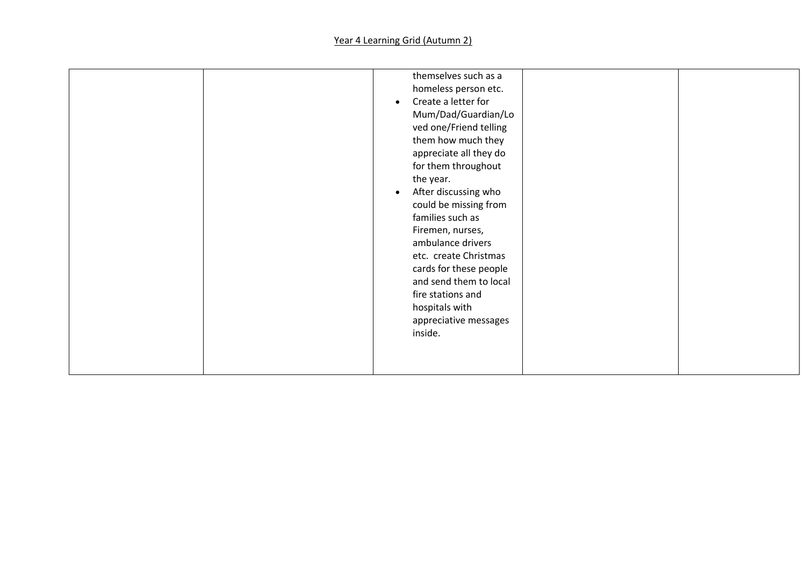|  | $\bullet$<br>$\bullet$<br>inside. | themselves such as a<br>homeless person etc.<br>Create a letter for<br>Mum/Dad/Guardian/Lo<br>ved one/Friend telling<br>them how much they<br>appreciate all they do<br>for them throughout<br>the year.<br>After discussing who<br>could be missing from<br>families such as<br>Firemen, nurses,<br>ambulance drivers<br>etc. create Christmas<br>cards for these people<br>and send them to local<br>fire stations and<br>hospitals with<br>appreciative messages |  |
|--|-----------------------------------|---------------------------------------------------------------------------------------------------------------------------------------------------------------------------------------------------------------------------------------------------------------------------------------------------------------------------------------------------------------------------------------------------------------------------------------------------------------------|--|
|--|-----------------------------------|---------------------------------------------------------------------------------------------------------------------------------------------------------------------------------------------------------------------------------------------------------------------------------------------------------------------------------------------------------------------------------------------------------------------------------------------------------------------|--|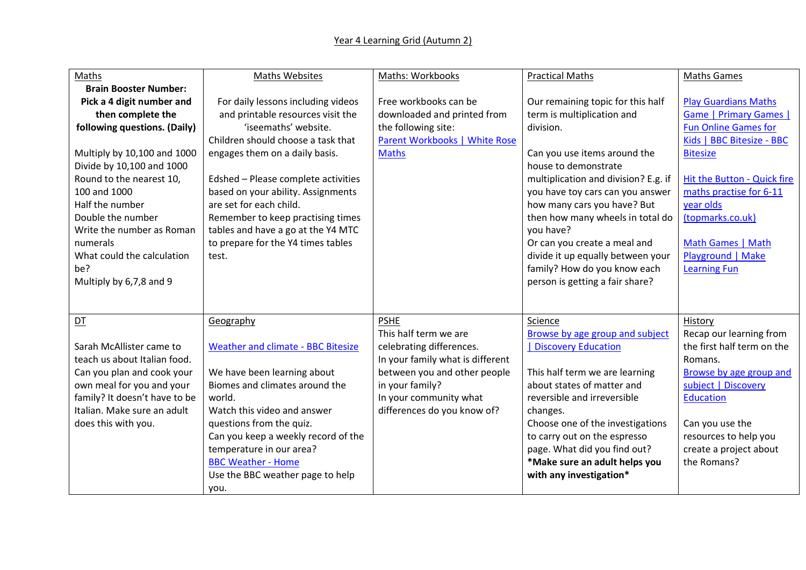## Year 4 Learning Grid (Autumn 2)

| Maths                         | <b>Maths Websites</b>                     | Maths: Workbooks                 | <b>Practical Maths</b>               | <b>Maths Games</b>            |
|-------------------------------|-------------------------------------------|----------------------------------|--------------------------------------|-------------------------------|
| <b>Brain Booster Number:</b>  |                                           |                                  |                                      |                               |
| Pick a 4 digit number and     | For daily lessons including videos        | Free workbooks can be            | Our remaining topic for this half    | <b>Play Guardians Maths</b>   |
| then complete the             | and printable resources visit the         | downloaded and printed from      | term is multiplication and           | <b>Game   Primary Games  </b> |
| following questions. (Daily)  | 'iseemaths' website.                      | the following site:              | division.                            | <b>Fun Online Games for</b>   |
|                               | Children should choose a task that        | Parent Workbooks   White Rose    |                                      | Kids   BBC Bitesize - BBC     |
| Multiply by 10,100 and 1000   | engages them on a daily basis.            | <b>Maths</b>                     | Can you use items around the         | <b>Bitesize</b>               |
| Divide by 10,100 and 1000     |                                           |                                  | house to demonstrate                 |                               |
| Round to the nearest 10,      | Edshed - Please complete activities       |                                  | multiplication and division? E.g. if | Hit the Button - Quick fire   |
| 100 and 1000                  | based on your ability. Assignments        |                                  | you have toy cars can you answer     | maths practise for 6-11       |
| Half the number               | are set for each child.                   |                                  | how many cars you have? But          | year olds                     |
| Double the number             | Remember to keep practising times         |                                  | then how many wheels in total do     | (topmarks.co.uk)              |
| Write the number as Roman     | tables and have a go at the Y4 MTC        |                                  | you have?                            |                               |
| numerals                      | to prepare for the Y4 times tables        |                                  | Or can you create a meal and         | Math Games   Math             |
| What could the calculation    | test.                                     |                                  | divide it up equally between your    | Playground   Make             |
| be?                           |                                           |                                  | family? How do you know each         | <b>Learning Fun</b>           |
| Multiply by 6,7,8 and 9       |                                           |                                  | person is getting a fair share?      |                               |
|                               |                                           |                                  |                                      |                               |
|                               |                                           |                                  |                                      |                               |
| DT                            | Geography                                 | <b>PSHE</b>                      | Science                              | History                       |
|                               |                                           | This half term we are            | Browse by age group and subject      | Recap our learning from       |
| Sarah McAllister came to      | <b>Weather and climate - BBC Bitesize</b> | celebrating differences.         | <b>Discovery Education</b>           | the first half term on the    |
| teach us about Italian food.  |                                           | In your family what is different |                                      | Romans.                       |
| Can you plan and cook your    | We have been learning about               | between you and other people     | This half term we are learning       | Browse by age group and       |
| own meal for you and your     | Biomes and climates around the            | in your family?                  | about states of matter and           | subject   Discovery           |
| family? It doesn't have to be | world.                                    | In your community what           | reversible and irreversible          | <b>Education</b>              |
| Italian. Make sure an adult   | Watch this video and answer               | differences do you know of?      | changes.                             |                               |
| does this with you.           | questions from the quiz.                  |                                  | Choose one of the investigations     | Can you use the               |
|                               | Can you keep a weekly record of the       |                                  | to carry out on the espresso         | resources to help you         |
|                               | temperature in our area?                  |                                  | page. What did you find out?         | create a project about        |
|                               | <b>BBC Weather - Home</b>                 |                                  | *Make sure an adult helps you        | the Romans?                   |
|                               | Use the BBC weather page to help          |                                  | with any investigation*              |                               |
|                               | you.                                      |                                  |                                      |                               |